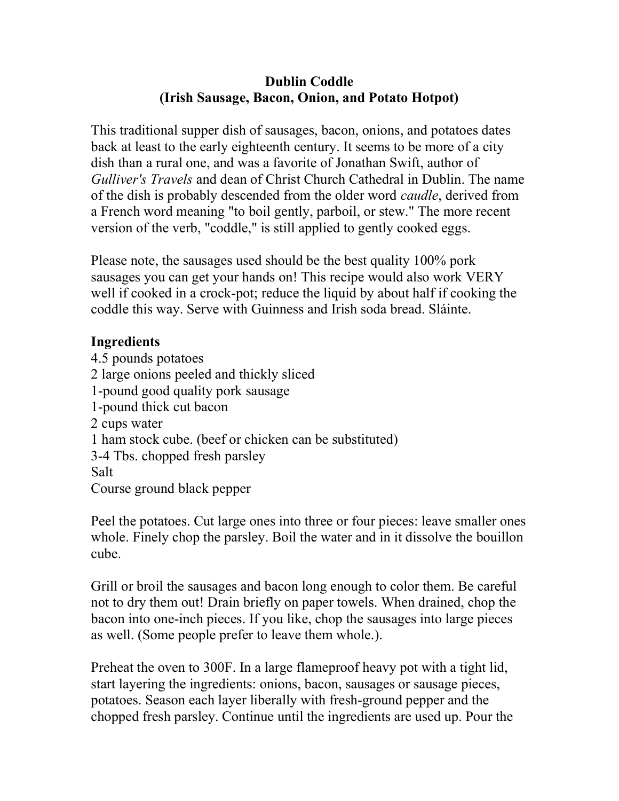## Dublin Coddle (Irish Sausage, Bacon, Onion, and Potato Hotpot)

This traditional supper dish of sausages, bacon, onions, and potatoes dates back at least to the early eighteenth century. It seems to be more of a city dish than a rural one, and was a favorite of Jonathan Swift, author of Gulliver's Travels and dean of Christ Church Cathedral in Dublin. The name of the dish is probably descended from the older word *caudle*, derived from a French word meaning "to boil gently, parboil, or stew." The more recent version of the verb, "coddle," is still applied to gently cooked eggs.

Please note, the sausages used should be the best quality 100% pork sausages you can get your hands on! This recipe would also work VERY well if cooked in a crock-pot; reduce the liquid by about half if cooking the coddle this way. Serve with Guinness and Irish soda bread. Sláinte.

## Ingredients

4.5 pounds potatoes 2 large onions peeled and thickly sliced 1-pound good quality pork sausage 1-pound thick cut bacon 2 cups water 1 ham stock cube. (beef or chicken can be substituted) 3-4 Tbs. chopped fresh parsley Salt Course ground black pepper

Peel the potatoes. Cut large ones into three or four pieces: leave smaller ones whole. Finely chop the parsley. Boil the water and in it dissolve the bouillon cube.

Grill or broil the sausages and bacon long enough to color them. Be careful not to dry them out! Drain briefly on paper towels. When drained, chop the bacon into one-inch pieces. If you like, chop the sausages into large pieces as well. (Some people prefer to leave them whole.).

Preheat the oven to 300F. In a large flameproof heavy pot with a tight lid, start layering the ingredients: onions, bacon, sausages or sausage pieces, potatoes. Season each layer liberally with fresh-ground pepper and the chopped fresh parsley. Continue until the ingredients are used up. Pour the